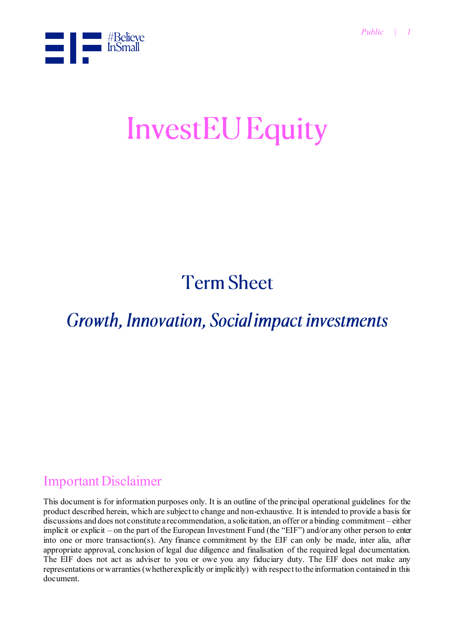

# **InvestEU Equity**

## **Term Sheet**

**Growth, Innovation, Social impact investments** 

## Important Disclaimer

This document is for information purposes only. It is an outline of the principal operational guidelines for the product described herein, which are subject to change and non-exhaustive. It is intended to provide a basis for discussions and does not constitute a recommendation, a solicitation, an offer or a binding commitment – either implicit or explicit – on the part of the European Investment Fund (the "EIF") and/or any other person to enter into one or more transaction(s). Any finance commitment by the EIF can only be made, inter alia, after appropriate approval, conclusion of legal due diligence and finalisation of the required legal documentation. The EIF does not act as adviser to you or owe you any fiduciary duty. The EIF does not make any representations or warranties (whether explicitly or implicitly) with respect to the information contained in this document.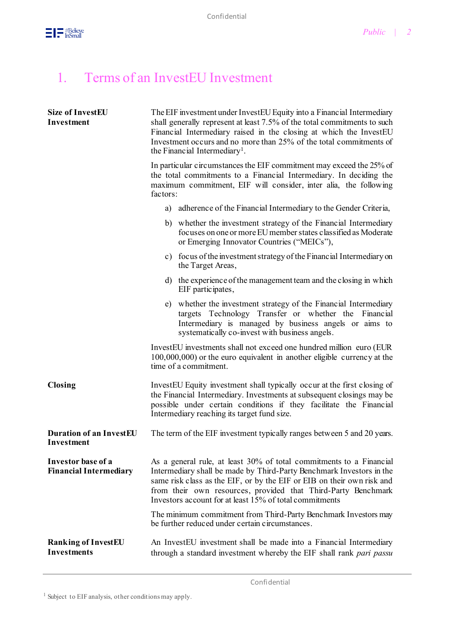

## 1. Terms of an InvestEU Investment

| <b>Size of InvestEU</b><br>Investment               | The EIF investment under InvestEU Equity into a Financial Intermediary<br>shall generally represent at least 7.5% of the total commitments to such<br>Financial Intermediary raised in the closing at which the InvestEU<br>Investment occurs and no more than 25% of the total commitments of<br>the Financial Intermediary <sup>1</sup> .       |
|-----------------------------------------------------|---------------------------------------------------------------------------------------------------------------------------------------------------------------------------------------------------------------------------------------------------------------------------------------------------------------------------------------------------|
|                                                     | In particular circumstances the EIF commitment may exceed the 25% of<br>the total commitments to a Financial Intermediary. In deciding the<br>maximum commitment, EIF will consider, inter alia, the following<br>factors:                                                                                                                        |
|                                                     | adherence of the Financial Intermediary to the Gender Criteria,<br>a)                                                                                                                                                                                                                                                                             |
|                                                     | b) whether the investment strategy of the Financial Intermediary<br>focuses on one or more EU member states classified as Moderate<br>or Emerging Innovator Countries ("MEICs"),                                                                                                                                                                  |
|                                                     | c) focus of the investment strategy of the Financial Intermediary on<br>the Target Areas,                                                                                                                                                                                                                                                         |
|                                                     | d) the experience of the management team and the closing in which<br>EIF participates,                                                                                                                                                                                                                                                            |
|                                                     | e) whether the investment strategy of the Financial Intermediary<br>targets Technology Transfer or whether the Financial<br>Intermediary is managed by business angels or aims to<br>systematically co-invest with business angels.                                                                                                               |
|                                                     | InvestEU investments shall not exceed one hundred million euro (EUR<br>$100,000,000$ or the euro equivalent in another eligible currency at the<br>time of a commitment.                                                                                                                                                                          |
| <b>Closing</b>                                      | InvestEU Equity investment shall typically occur at the first closing of<br>the Financial Intermediary. Investments at subsequent closings may be<br>possible under certain conditions if they facilitate the Financial<br>Intermediary reaching its target fund size.                                                                            |
| <b>Duration of an InvestEU</b><br>Investment        | The term of the EIF investment typically ranges between 5 and 20 years.                                                                                                                                                                                                                                                                           |
| Investor base of a<br><b>Financial Intermediary</b> | As a general rule, at least 30% of total commitments to a Financial<br>Intermediary shall be made by Third-Party Benchmark Investors in the<br>same risk class as the EIF, or by the EIF or EIB on their own risk and<br>from their own resources, provided that Third-Party Benchmark<br>Investors account for at least 15% of total commitments |
|                                                     | The minimum commitment from Third-Party Benchmark Investors may<br>be further reduced under certain circumstances.                                                                                                                                                                                                                                |
| <b>Ranking of InvestEU</b><br><b>Investments</b>    | An InvestEU investment shall be made into a Financial Intermediary<br>through a standard investment whereby the EIF shall rank pari passu                                                                                                                                                                                                         |

<sup>1</sup> Subject to EIF analysis, other conditions may apply.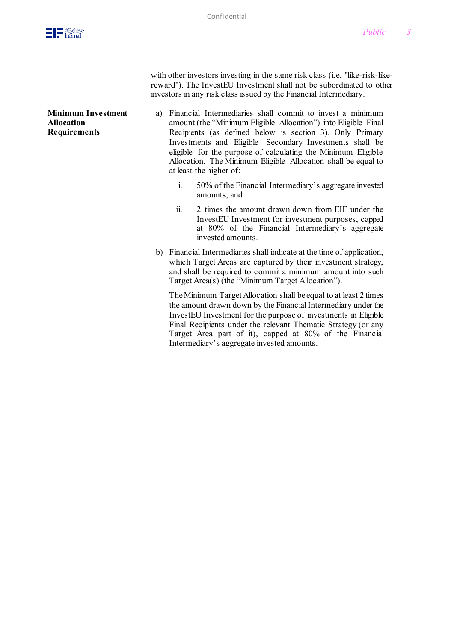

with other investors investing in the same risk class (i.e. "like-risk-likereward"). The InvestEU Investment shall not be subordinated to other investors in any risk class issued by the Financial Intermediary.

**Minimum Investment Allocation Requirements**

- a) Financial Intermediaries shall commit to invest a minimum amount (the "Minimum Eligible Allocation") into Eligible Final Recipients (as defined below is section 3). Only Primary Investments and Eligible Secondary Investments shall be eligible for the purpose of calculating the Minimum Eligible Allocation. The Minimum Eligible Allocation shall be equal to at least the higher of:
	- i. 50% of the Financial Intermediary's aggregate invested amounts, and
	- ii. 2 times the amount drawn down from EIF under the InvestEU Investment for investment purposes, capped at 80% of the Financial Intermediary's aggregate invested amounts.
- b) Financial Intermediaries shall indicate at the time of application, which Target Areas are captured by their investment strategy, and shall be required to commit a minimum amount into such Target Area(s) (the "Minimum Target Allocation").

The Minimum Target Allocation shall be equal to at least 2 times the amount drawn down by the Financial Intermediary under the InvestEU Investment for the purpose of investments in Eligible Final Recipients under the relevant Thematic Strategy (or any Target Area part of it), capped at 80% of the Financial Intermediary's aggregate invested amounts.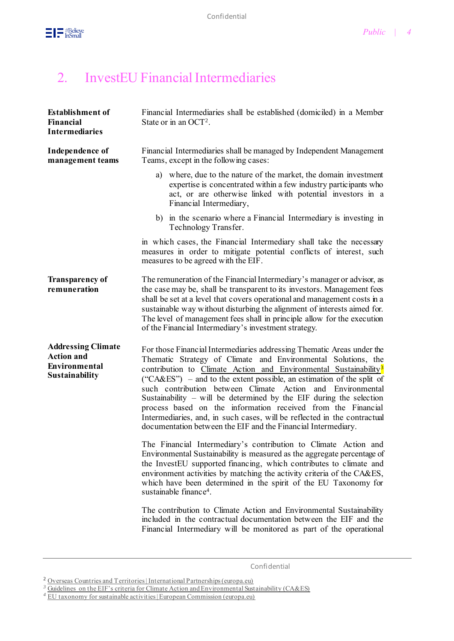

## 2. InvestEU Financial Intermediaries

| <b>Establishment of</b><br>Financial<br><b>Intermediaries</b>                            | Financial Intermediaries shall be established (domiciled) in a Member<br>State or in an $OCT2$ .                                                                                                                                                                                                                                                                                                                                                                                                                                                                                                                                                     |
|------------------------------------------------------------------------------------------|------------------------------------------------------------------------------------------------------------------------------------------------------------------------------------------------------------------------------------------------------------------------------------------------------------------------------------------------------------------------------------------------------------------------------------------------------------------------------------------------------------------------------------------------------------------------------------------------------------------------------------------------------|
| Independence of<br>management teams                                                      | Financial Intermediaries shall be managed by Independent Management<br>Teams, except in the following cases:                                                                                                                                                                                                                                                                                                                                                                                                                                                                                                                                         |
|                                                                                          | where, due to the nature of the market, the domain investment<br>a)<br>expertise is concentrated within a few industry participants who<br>act, or are otherwise linked with potential investors in a<br>Financial Intermediary,                                                                                                                                                                                                                                                                                                                                                                                                                     |
|                                                                                          | b) in the scenario where a Financial Intermediary is investing in<br>Technology Transfer.                                                                                                                                                                                                                                                                                                                                                                                                                                                                                                                                                            |
|                                                                                          | in which cases, the Financial Intermediary shall take the necessary<br>measures in order to mitigate potential conflicts of interest, such<br>measures to be agreed with the EIF.                                                                                                                                                                                                                                                                                                                                                                                                                                                                    |
| <b>Transparency of</b><br>remuneration                                                   | The remuneration of the Financial Intermediary's manager or advisor, as<br>the case may be, shall be transparent to its investors. Management fees<br>shall be set at a level that covers operational and management costs in a<br>sustainable way without disturbing the alignment of interests aimed for.<br>The level of management fees shall in principle allow for the execution<br>of the Financial Intermediary's investment strategy.                                                                                                                                                                                                       |
| <b>Addressing Climate</b><br><b>Action and</b><br>Environmental<br><b>Sustainability</b> | For those Financial Intermediaries addressing Thematic Areas under the<br>Thematic Strategy of Climate and Environmental Solutions, the<br>contribution to Climate Action and Environmental Sustainability <sup>3</sup><br>("CA&ES") – and to the extent possible, an estimation of the split of<br>such contribution between Climate Action and Environmental<br>Sustainability $-$ will be determined by the EIF during the selection<br>process based on the information received from the Financial<br>Intermediaries, and, in such cases, will be reflected in the contractual<br>documentation between the EIF and the Financial Intermediary. |
|                                                                                          | The Financial Intermediary's contribution to Climate Action and<br>Environmental Sustainability is measured as the aggregate percentage of<br>the InvestEU supported financing, which contributes to climate and<br>environment activities by matching the activity criteria of the CA&ES,<br>which have been determined in the spirit of the EU Taxonomy for<br>sustainable finance <sup>4</sup> .                                                                                                                                                                                                                                                  |
|                                                                                          | The contribution to Climate Action and Environmental Sustainability<br>included in the contractual documentation between the EIF and the<br>Financial Intermediary will be monitored as part of the operational                                                                                                                                                                                                                                                                                                                                                                                                                                      |

Confidential

<sup>&</sup>lt;sup>2</sup> [Overseas Countries and Territories | International Partnerships \(europa.eu\)](https://ec.europa.eu/international-partnerships/where-we-work/overseas-countries-and-territories_en)

<sup>&</sup>lt;sup>3</sup> [Guidelines on the EIF's criteria for Climate Action and Environmental Sustainability \(CA&ES\)](https://www.eif.org/news_centre/publications/climate-action-sustainability-criteria)

*<sup>4</sup>* [EU taxonomy for sustainable activities | European Commission \(europa.eu\)](https://ec.europa.eu/info/business-economy-euro/banking-and-finance/sustainable-finance/eu-taxonomy-sustainable-activities_en)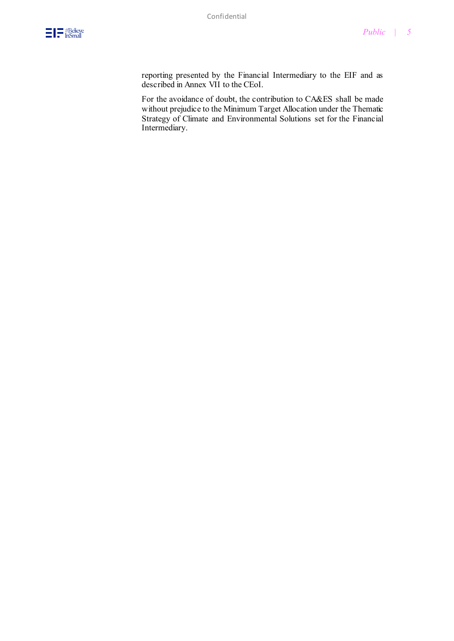reporting presented by the Financial Intermediary to the EIF and as described in Annex VII to the CEoI.

For the avoidance of doubt, the contribution to CA&ES shall be made without prejudice to the Minimum Target Allocation under the Thematic Strategy of Climate and Environmental Solutions set for the Financial Intermediary.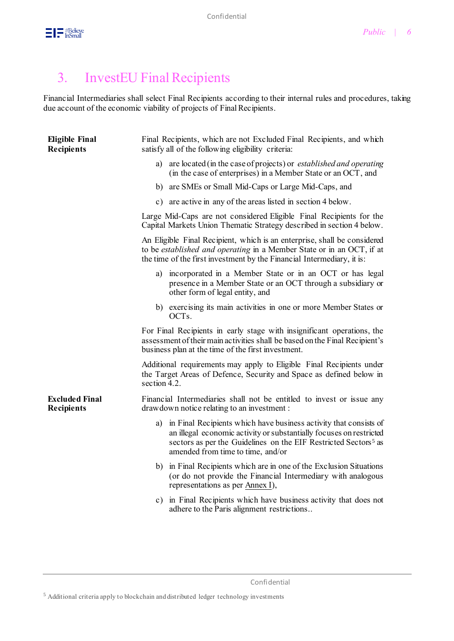

## 3. InvestEU Final Recipients

Financial Intermediaries shall select Final Recipients according to their internal rules and procedures, taking due account of the economic viability of projects of Final Recipients.

| <b>Eligible Final</b><br><b>Recipients</b> | satisfy all of the following eligibility criteria: | Final Recipients, which are not Excluded Final Recipients, and which                                                                                                                                                               |
|--------------------------------------------|----------------------------------------------------|------------------------------------------------------------------------------------------------------------------------------------------------------------------------------------------------------------------------------------|
|                                            | a)                                                 | are located (in the case of projects) or <i>established and operating</i><br>(in the case of enterprises) in a Member State or an OCT, and                                                                                         |
|                                            |                                                    | b) are SMEs or Small Mid-Caps or Large Mid-Caps, and                                                                                                                                                                               |
|                                            | c)                                                 | are active in any of the areas listed in section 4 below.                                                                                                                                                                          |
|                                            |                                                    | Large Mid-Caps are not considered Eligible Final Recipients for the<br>Capital Markets Union Thematic Strategy described in section 4 below.                                                                                       |
|                                            |                                                    | An Eligible Final Recipient, which is an enterprise, shall be considered<br>to be <i>established and operating</i> in a Member State or in an OCT, if at<br>the time of the first investment by the Financial Intermediary, it is: |
|                                            | a)<br>other form of legal entity, and              | incorporated in a Member State or in an OCT or has legal<br>presence in a Member State or an OCT through a subsidiary or                                                                                                           |
|                                            | OCT <sub>s</sub> .                                 | b) exercising its main activities in one or more Member States or                                                                                                                                                                  |
|                                            | business plan at the time of the first investment. | For Final Recipients in early stage with insignificant operations, the<br>assessment of their main activities shall be based on the Final Recipient's                                                                              |
|                                            | section 4.2.                                       | Additional requirements may apply to Eligible Final Recipients under<br>the Target Areas of Defence, Security and Space as defined below in                                                                                        |
| <b>Excluded Final</b><br><b>Recipients</b> | drawdown notice relating to an investment :        | Financial Intermediaries shall not be entitled to invest or issue any                                                                                                                                                              |
|                                            | amended from time to time, and/or                  | a) in Final Recipients which have business activity that consists of<br>an illegal economic activity or substantially focuses on restricted<br>sectors as per the Guidelines on the EIF Restricted Sectors <sup>5</sup> as         |
|                                            | representations as per Annex I),                   | b) in Final Recipients which are in one of the Exclusion Situations<br>(or do not provide the Financial Intermediary with analogous                                                                                                |
|                                            | adhere to the Paris alignment restrictions         | c) in Final Recipients which have business activity that does not                                                                                                                                                                  |
|                                            |                                                    |                                                                                                                                                                                                                                    |

Confidential

<sup>5</sup> Additional criteria apply to blockchain and distributed ledger technology investments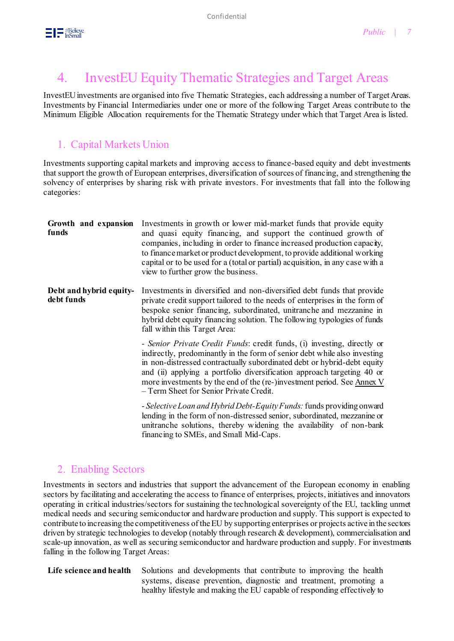

## 4. InvestEU Equity Thematic Strategies and Target Areas

InvestEU investments are organised into five Thematic Strategies, each addressing a number of Target Areas. Investments by Financial Intermediaries under one or more of the following Target Areas contribute to the Minimum Eligible Allocation requirements for the Thematic Strategy under which that Target Area is listed.

### 1. Capital Markets Union

Investments supporting capital markets and improving access to finance-based equity and debt investments that support the growth of European enterprises, diversification of sources of financing, and strengthening the solvency of enterprises by sharing risk with private investors. For investments that fall into the following categories:

| Growth and expansion<br>funds         | Investments in growth or lower mid-market funds that provide equity<br>and quasi equity financing, and support the continued growth of<br>companies, including in order to finance increased production capacity,<br>to finance market or product development, to provide additional working<br>capital or to be used for a (total or partial) acquisition, in any case with a<br>view to further grow the business.           |
|---------------------------------------|--------------------------------------------------------------------------------------------------------------------------------------------------------------------------------------------------------------------------------------------------------------------------------------------------------------------------------------------------------------------------------------------------------------------------------|
| Debt and hybrid equity-<br>debt funds | Investments in diversified and non-diversified debt funds that provide<br>private credit support tailored to the needs of enterprises in the form of<br>bespoke senior financing, subordinated, unitranche and mezzanine in<br>hybrid debt equity financing solution. The following typologies of funds<br>fall within this Target Area:                                                                                       |
|                                       | - Senior Private Credit Funds: credit funds, (i) investing, directly or<br>indirectly, predominantly in the form of senior debt while also investing<br>in non-distressed contractually subordinated debt or hybrid-debt equity<br>and (ii) applying a portfolio diversification approach targeting 40 or<br>more investments by the end of the (re-)investment period. See Annex V<br>- Term Sheet for Senior Private Credit. |
|                                       | - Selective Loan and Hybrid Debt-Equity Funds: funds providing onward<br>lending in the form of non-distressed senior, subordinated, mezzanine or<br>unitranche solutions, thereby widening the availability of non-bank<br>financing to SMEs, and Small Mid-Caps.                                                                                                                                                             |

#### 2. Enabling Sectors

Investments in sectors and industries that support the advancement of the European economy in enabling sectors by facilitating and accelerating the access to finance of enterprises, projects, initiatives and innovators operating in critical industries/sectors for sustaining the technological sovereignty of the EU, tackling unmet medical needs and securing semiconductor and hardware production and supply. This support is expected to contribute to increasing the competitiveness of the EU by supporting enterprises or projects active in the sectors driven by strategic technologies to develop (notably through research & development), commercialisation and scale-up innovation, as well as securing semiconductor and hardware production and supply. For investments falling in the following Target Areas:

Life science and health Solutions and developments that contribute to improving the health systems, disease prevention, diagnostic and treatment, promoting a healthy lifestyle and making the EU capable of responding effectively to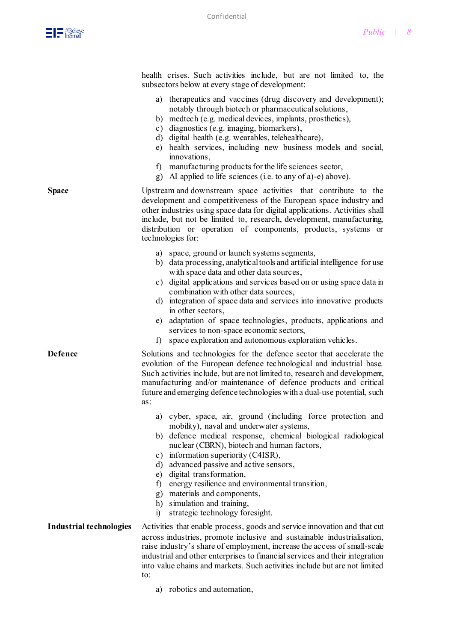

health crises. Such activities include, but are not limited to, the subsectors below at every stage of development:

- a) therapeutics and vaccines (drug discovery and development); notably through biotech or pharmaceutical solutions,
- b) medtech (e.g. medical devices, implants, prosthetics),
- c) diagnostics (e.g. imaging, biomarkers),
- d) digital health (e.g. wearables, telehealthcare),
- e) health services, including new business models and social, innovations,
- f) manufacturing products for the life sciences sector,
- g) AI applied to life sciences (i.e. to any of a)-e) above).
- **Space** Upstream and downstream space activities that contribute to the development and competitiveness of the European space industry and other industries using space data for digital applications. Activities shall include, but not be limited to, research, development, manufacturing, distribution or operation of components, products, systems or technologies for:
	- a) space, ground or launch systems segments,
	- b) data processing, analytical tools and artificial intelligence for use with space data and other data sources,
	- c) digital applications and services based on or using space data in combination with other data sources,
	- d) integration of space data and services into innovative products in other sectors,
	- e) adaptation of space technologies, products, applications and services to non-space economic sectors,
	- f) space exploration and autonomous exploration vehicles.

**Defence** Solutions and technologies for the defence sector that accelerate the evolution of the European defence technological and industrial base. Such activities include, but are not limited to, research and development, manufacturing and/or maintenance of defence products and critical future and emerging defence technologies with a dual-use potential, such as:

- a) cyber, space, air, ground (including force protection and mobility), naval and underwater systems,
- b) defence medical response, chemical biological radiological nuclear (CBRN), biotech and human factors,
- c) information superiority (C4ISR),
- d) advanced passive and active sensors,
- e) digital transformation,
- f) energy resilience and environmental transition,
- g) materials and components,
- h) simulation and training,
- i) strategic technology foresight.

**Industrial technologies** Activities that enable process, goods and service innovation and that cut across industries, promote inclusive and sustainable industrialisation, raise industry's share of employment, increase the access of small-scale industrial and other enterprises to financial services and their integration into value chains and markets. Such activities include but are not limited to:

a) robotics and automation,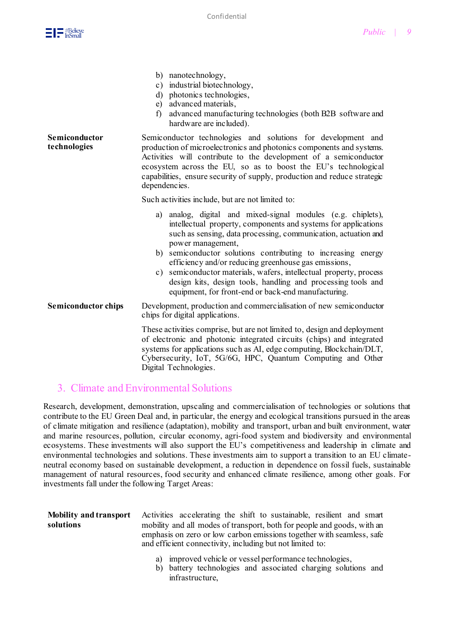b) nanotechnology,



|                               | $v_j$ nanowednology,<br>c) industrial biotechnology,<br>photonics technologies,<br>d)<br>advanced materials,<br>e)<br>advanced manufacturing technologies (both B2B software and<br>f)<br>hardware are included).                                                                                                                                                                                                                                                                                                                             |
|-------------------------------|-----------------------------------------------------------------------------------------------------------------------------------------------------------------------------------------------------------------------------------------------------------------------------------------------------------------------------------------------------------------------------------------------------------------------------------------------------------------------------------------------------------------------------------------------|
| Semiconductor<br>technologies | Semiconductor technologies and solutions for development and<br>production of microelectronics and photonics components and systems.<br>Activities will contribute to the development of a semiconductor<br>ecosystem across the EU, so as to boost the EU's technological<br>capabilities, ensure security of supply, production and reduce strategic<br>dependencies.                                                                                                                                                                       |
|                               | Such activities include, but are not limited to:                                                                                                                                                                                                                                                                                                                                                                                                                                                                                              |
|                               | analog, digital and mixed-signal modules (e.g. chiplets),<br>a)<br>intellectual property, components and systems for applications<br>such as sensing, data processing, communication, actuation and<br>power management,<br>b) semiconductor solutions contributing to increasing energy<br>efficiency and/or reducing greenhouse gas emissions,<br>c) semiconductor materials, wafers, intellectual property, process<br>design kits, design tools, handling and processing tools and<br>equipment, for front-end or back-end manufacturing. |
| <b>Semiconductor chips</b>    | Development, production and commercialisation of new semiconductor<br>chips for digital applications.                                                                                                                                                                                                                                                                                                                                                                                                                                         |
|                               | These activities comprise, but are not limited to, design and deployment<br>of electronic and photonic integrated circuits (chips) and integrated<br>systems for applications such as AI, edge computing, Blockchain/DLT,<br>Cybersecurity, IoT, 5G/6G, HPC, Quantum Computing and Other<br>Digital Technologies.                                                                                                                                                                                                                             |

#### 3. Climate and Environmental Solutions

Research, development, demonstration, upscaling and commercialisation of technologies or solutions that contribute to the EU Green Deal and, in particular, the energy and ecological transitions pursued in the areas of climate mitigation and resilience (adaptation), mobility and transport, urban and built environment, water and marine resources, pollution, circular economy, agri-food system and biodiversity and environmental ecosystems. These investments will also support the EU's competitiveness and leadership in climate and environmental technologies and solutions. These investments aim to support a transition to an EU climateneutral economy based on sustainable development, a reduction in dependence on fossil fuels, sustainable management of natural resources, food security and enhanced climate resilience, among other goals. For investments fall under the following Target Areas:

#### **Mobility and transport solutions**

Activities accelerating the shift to sustainable, resilient and smart mobility and all modes of transport, both for people and goods, with an emphasis on zero or low carbon emissions together with seamless, safe and efficient connectivity, including but not limited to:

- improved vehicle or vessel performance technologies,
- b) battery technologies and associated charging solutions and infrastructure,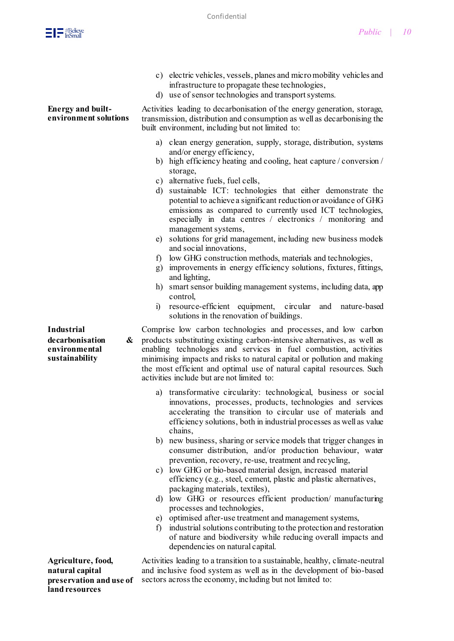

**natural capital** 

**land resources**

|                                                                              | c) electric vehicles, vessels, planes and micro mobility vehicles and<br>infrastructure to propagate these technologies,<br>d) use of sensor technologies and transport systems.                                                                                                                                                                                                                                                                                                                                                                                                                                                                                                                                                                                                                                                                                                                                                                                                                                                                                                                                                                                                                                                                                                                                                                                                                              |
|------------------------------------------------------------------------------|---------------------------------------------------------------------------------------------------------------------------------------------------------------------------------------------------------------------------------------------------------------------------------------------------------------------------------------------------------------------------------------------------------------------------------------------------------------------------------------------------------------------------------------------------------------------------------------------------------------------------------------------------------------------------------------------------------------------------------------------------------------------------------------------------------------------------------------------------------------------------------------------------------------------------------------------------------------------------------------------------------------------------------------------------------------------------------------------------------------------------------------------------------------------------------------------------------------------------------------------------------------------------------------------------------------------------------------------------------------------------------------------------------------|
| <b>Energy and built-</b><br>environment solutions                            | Activities leading to decarbonisation of the energy generation, storage,<br>transmission, distribution and consumption as well as decarbonising the<br>built environment, including but not limited to:                                                                                                                                                                                                                                                                                                                                                                                                                                                                                                                                                                                                                                                                                                                                                                                                                                                                                                                                                                                                                                                                                                                                                                                                       |
| <b>Industrial</b><br>decarbonisation<br>&<br>environmental<br>sustainability | clean energy generation, supply, storage, distribution, systems<br>a)<br>and/or energy efficiency,<br>high efficiency heating and cooling, heat capture / conversion /<br>b)<br>storage,<br>c) alternative fuels, fuel cells,<br>d) sustainable ICT: technologies that either demonstrate the<br>potential to achieve a significant reduction or avoidance of GHG<br>emissions as compared to currently used ICT technologies,<br>especially in data centres / electronics / monitoring and<br>management systems,<br>solutions for grid management, including new business models<br>e)<br>and social innovations,<br>low GHG construction methods, materials and technologies,<br>$f$ )<br>improvements in energy efficiency solutions, fixtures, fittings,<br>g)<br>and lighting,<br>h) smart sensor building management systems, including data, app<br>control,<br>resource-efficient equipment, circular<br>and<br>i)<br>nature-based<br>solutions in the renovation of buildings.<br>Comprise low carbon technologies and processes, and low carbon<br>products substituting existing carbon-intensive alternatives, as well as<br>enabling technologies and services in fuel combustion, activities<br>minimising impacts and risks to natural capital or pollution and making<br>the most efficient and optimal use of natural capital resources. Such<br>activities include but are not limited to: |
|                                                                              | transformative circularity: technological, business or social<br>a)<br>innovations, processes, products, technologies and services<br>accelerating the transition to circular use of materials and<br>efficiency solutions, both in industrial processes as well as value<br>chains,<br>b) new business, sharing or service models that trigger changes in<br>consumer distribution, and/or production behaviour, water<br>prevention, recovery, re-use, treatment and recycling,<br>c) low GHG or bio-based material design, increased material<br>efficiency (e.g., steel, cement, plastic and plastic alternatives,<br>packaging materials, textiles),<br>low GHG or resources efficient production/ manufacturing<br>d)<br>processes and technologies,<br>optimised after-use treatment and management systems,<br>e)<br>industrial solutions contributing to the protection and restoration<br>f)<br>of nature and biodiversity while reducing overall impacts and<br>dependencies on natural capital.                                                                                                                                                                                                                                                                                                                                                                                                   |
| Agriculture, food,                                                           | Activities leading to a transition to a sustainable, healthy, climate-neutral                                                                                                                                                                                                                                                                                                                                                                                                                                                                                                                                                                                                                                                                                                                                                                                                                                                                                                                                                                                                                                                                                                                                                                                                                                                                                                                                 |

**preservation and use of**  sectors across the economy, including but not limited to:Activities leading to a transition to a sustainable, healthy, climate-neutral and inclusive food system as well as in the development of bio-based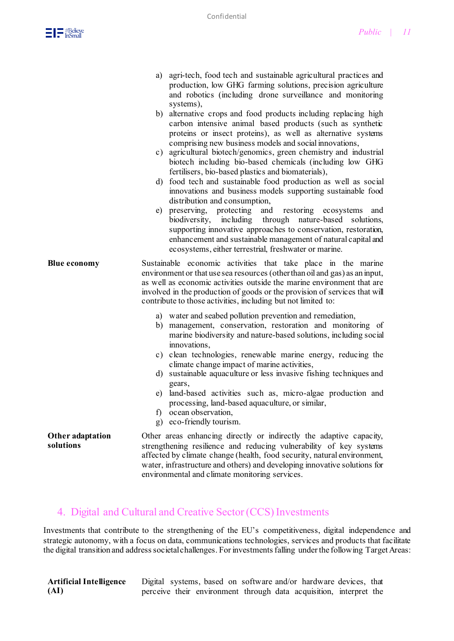- a) agri-tech, food tech and sustainable agricultural practices and production, low GHG farming solutions, precision agriculture and robotics (including drone surveillance and monitoring systems),
- b) alternative crops and food products including replacing high carbon intensive animal based products (such as synthetic proteins or insect proteins), as well as alternative systems comprising new business models and social innovations,
- c) agricultural biotech/genomics, green chemistry and industrial biotech including bio-based chemicals (including low GHG fertilisers, bio-based plastics and biomaterials),
- d) food tech and sustainable food production as well as social innovations and business models supporting sustainable food distribution and consumption,
- e) preserving, protecting and restoring ecosystems and biodiversity, including through nature-based solutions, supporting innovative approaches to conservation, restoration, enhancement and sustainable management of natural capital and ecosystems, either terrestrial, freshwater or marine.
- **Blue economy** Sustainable economic activities that take place in the marine environment or that use sea resources (other than oil and gas) as an input, as well as economic activities outside the marine environment that are involved in the production of goods or the provision of services that will contribute to those activities, including but not limited to:
	- a) water and seabed pollution prevention and remediation,
	- b) management, conservation, restoration and monitoring of marine biodiversity and nature-based solutions, including social innovations,
	- c) clean technologies, renewable marine energy, reducing the climate change impact of marine activities,
	- d) sustainable aquaculture or less invasive fishing techniques and gears,
	- e) land-based activities such as, micro-algae production and processing, land-based aquaculture, or similar,
	- f) ocean observation,
	- g) eco-friendly tourism.

**Other adaptation solutions** Other areas enhancing directly or indirectly the adaptive capacity, strengthening resilience and reducing vulnerability of key systems affected by climate change (health, food security, natural environment, water, infrastructure and others) and developing innovative solutions for environmental and climate monitoring services.

#### 4. Digital and Cultural and Creative Sector (CCS) Investments

Investments that contribute to the strengthening of the EU's competitiveness, digital independence and strategic autonomy, with a focus on data, communications technologies, services and products that facilitate the digital transition and address societal challenges. For investments falling under the following Target Areas:

**Artificial Intelligence (AI)** Digital systems, based on software and/or hardware devices, that perceive their environment through data acquisition, interpret the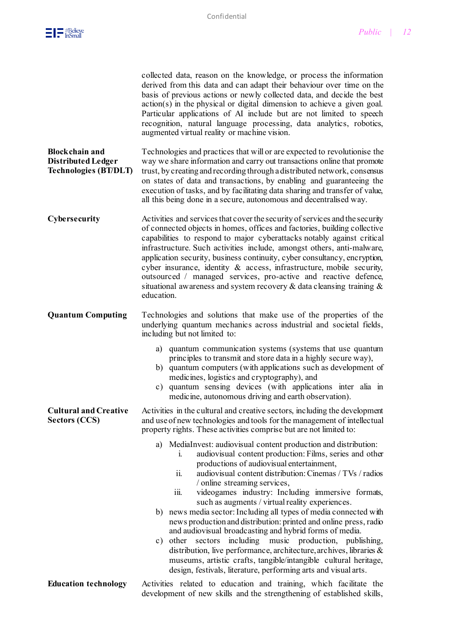|                                                                                    | collected data, reason on the knowledge, or process the information<br>derived from this data and can adapt their behaviour over time on the<br>basis of previous actions or newly collected data, and decide the best<br>$action(s)$ in the physical or digital dimension to achieve a given goal.<br>Particular applications of AI include but are not limited to speech<br>recognition, natural language processing, data analytics, robotics,<br>augmented virtual reality or machine vision.                                                                                                                                                                                                                                                                                                                                                                                                                                                                                                                                                                                                                                                                                 |
|------------------------------------------------------------------------------------|-----------------------------------------------------------------------------------------------------------------------------------------------------------------------------------------------------------------------------------------------------------------------------------------------------------------------------------------------------------------------------------------------------------------------------------------------------------------------------------------------------------------------------------------------------------------------------------------------------------------------------------------------------------------------------------------------------------------------------------------------------------------------------------------------------------------------------------------------------------------------------------------------------------------------------------------------------------------------------------------------------------------------------------------------------------------------------------------------------------------------------------------------------------------------------------|
| <b>Blockchain and</b><br><b>Distributed Ledger</b><br><b>Technologies (BT/DLT)</b> | Technologies and practices that will or are expected to revolutionise the<br>way we share information and carry out transactions online that promote<br>trust, by creating and recording through a distributed network, consensus<br>on states of data and transactions, by enabling and guaranteeing the<br>execution of tasks, and by facilitating data sharing and transfer of value,<br>all this being done in a secure, autonomous and decentralised way.                                                                                                                                                                                                                                                                                                                                                                                                                                                                                                                                                                                                                                                                                                                    |
| Cybersecurity                                                                      | Activities and services that cover the security of services and the security<br>of connected objects in homes, offices and factories, building collective<br>capabilities to respond to major cyberattacks notably against critical<br>infrastructure. Such activities include, amongst others, anti-malware,<br>application security, business continuity, cyber consultancy, encryption,<br>cyber insurance, identity & access, infrastructure, mobile security,<br>outsourced / managed services, pro-active and reactive defence,<br>situational awareness and system recovery $\&$ data cleansing training $\&$<br>education.                                                                                                                                                                                                                                                                                                                                                                                                                                                                                                                                                |
| <b>Quantum Computing</b>                                                           | Technologies and solutions that make use of the properties of the<br>underlying quantum mechanics across industrial and societal fields,<br>including but not limited to:<br>a) quantum communication systems (systems that use quantum<br>principles to transmit and store data in a highly secure way),<br>quantum computers (with applications such as development of<br>b)<br>medicines, logistics and cryptography), and<br>quantum sensing devices (with applications inter alia in<br>$\mathbf{c})$                                                                                                                                                                                                                                                                                                                                                                                                                                                                                                                                                                                                                                                                        |
| <b>Cultural and Creative</b><br><b>Sectors (CCS)</b>                               | medicine, autonomous driving and earth observation).<br>Activities in the cultural and creative sectors, including the development<br>and use of new technologies and tools for the management of intellectual<br>property rights. These activities comprise but are not limited to:<br>MediaInvest: audiovisual content production and distribution:<br>a)<br>audiovisual content production: Films, series and other<br>1.<br>productions of audiovisual entertainment,<br>audiovisual content distribution: Cinemas / TVs / radios<br>11.<br>/ online streaming services,<br>videogames industry: Including immersive formats,<br>iii.<br>such as augments / virtual reality experiences.<br>news media sector: Including all types of media connected with<br>b)<br>news production and distribution: printed and online press, radio<br>and audiovisual broadcasting and hybrid forms of media.<br>c) other sectors including<br>music production, publishing,<br>distribution, live performance, architecture, archives, libraries &<br>museums, artistic crafts, tangible/intangible cultural heritage,<br>design, festivals, literature, performing arts and visual arts. |
| <b>Education technology</b>                                                        | Activities related to education and training, which facilitate the<br>development of new skills and the strengthening of established skills,                                                                                                                                                                                                                                                                                                                                                                                                                                                                                                                                                                                                                                                                                                                                                                                                                                                                                                                                                                                                                                      |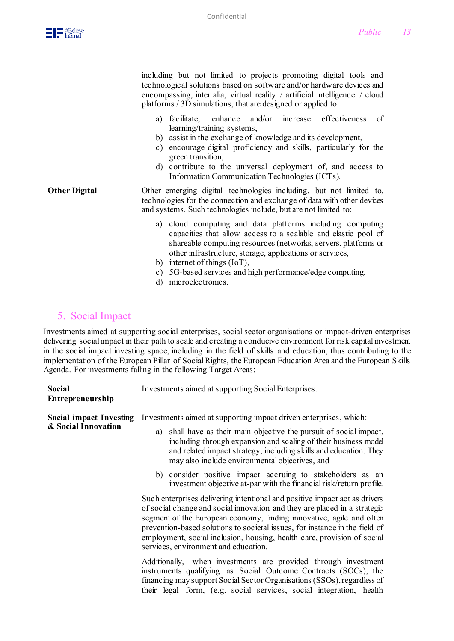including but not limited to projects promoting digital tools and technological solutions based on software and/or hardware devices and encompassing, inter alia, virtual reality / artificial intelligence / cloud platforms / 3D simulations, that are designed or applied to:

- a) facilitate, enhance and/or increase effectiveness of learning/training systems,
- b) assist in the exchange of knowledge and its development,
- c) encourage digital proficiency and skills, particularly for the green transition,
- d) contribute to the universal deployment of, and access to Information Communication Technologies (ICTs).
- **Other Digital** Other emerging digital technologies including, but not limited to, technologies for the connection and exchange of data with other devices and systems. Such technologies include, but are not limited to:
	- a) cloud computing and data platforms including computing capacities that allow access to a scalable and elastic pool of shareable computing resources (networks, servers, platforms or other infrastructure, storage, applications or services,
	- b) internet of things (IoT),
	- c) 5G-based services and high performance/edge computing,
	- d) microelectronics.

#### 5. Social Impact

Investments aimed at supporting social enterprises, social sector organisations or impact-driven enterprises delivering social impact in their path to scale and creating a conducive environment for risk capital investment in the social impact investing space, including in the field of skills and education, thus contributing to the implementation of the European Pillar of Social Rights, the European Education Area and the European Skills Agenda. For investments falling in the following Target Areas:

| Social<br>Entrepreneurship                            | Investments aimed at supporting Social Enterprises.                                                                                                                                                                                                                                                                                                                                                                                                                                                                                                                                                                                                                                                                     |
|-------------------------------------------------------|-------------------------------------------------------------------------------------------------------------------------------------------------------------------------------------------------------------------------------------------------------------------------------------------------------------------------------------------------------------------------------------------------------------------------------------------------------------------------------------------------------------------------------------------------------------------------------------------------------------------------------------------------------------------------------------------------------------------------|
| <b>Social impact Investing</b><br>& Social Innovation | Investments aimed at supporting impact driven enterprises, which:<br>shall have as their main objective the pursuit of social impact,<br>a)<br>including through expansion and scaling of their business model<br>and related impact strategy, including skills and education. They<br>may also include environmental objectives, and<br>b) consider positive impact accruing to stakeholders as an<br>investment objective at-par with the financial risk/return profile.                                                                                                                                                                                                                                              |
|                                                       | Such enterprises delivering intentional and positive impact act as drivers<br>of social change and social innovation and they are placed in a strategic<br>segment of the European economy, finding innovative, agile and often<br>prevention-based solutions to societal issues, for instance in the field of<br>employment, social inclusion, housing, health care, provision of social<br>services, environment and education.<br>Additionally, when investments are provided through investment<br>instruments qualifying as Social Outcome Contracts (SOCs), the<br>financing may support Social Sector Organisations (SSOs), regardless of<br>their legal form, (e.g. social services, social integration, health |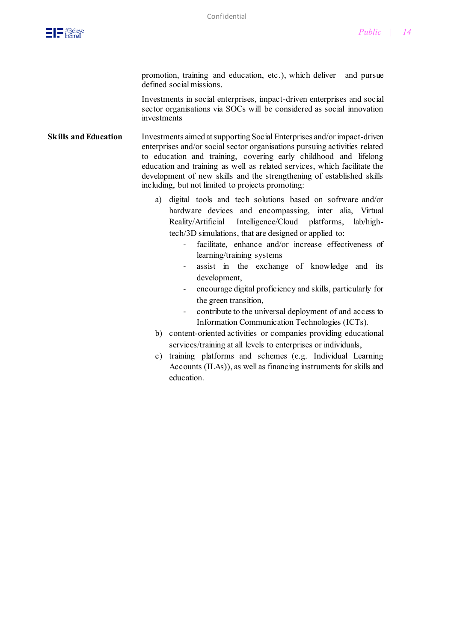promotion, training and education, etc.), which deliver and pursue defined social missions.

Investments in social enterprises, impact-driven enterprises and social sector organisations via SOCs will be considered as social innovation investments

**Skills and Education** Investments aimed at supporting Social Enterprises and/or impact-driven enterprises and/or social sector organisations pursuing activities related to education and training, covering early childhood and lifelong education and training as well as related services, which facilitate the development of new skills and the strengthening of established skills including, but not limited to projects promoting:

- a) digital tools and tech solutions based on software and/or hardware devices and encompassing, inter alia, Virtual Reality/Artificial Intelligence/Cloud platforms, lab/hightech/3D simulations, that are designed or applied to:
	- facilitate, enhance and/or increase effectiveness of learning/training systems
	- assist in the exchange of knowledge and its development,
	- encourage digital proficiency and skills, particularly for the green transition,
	- contribute to the universal deployment of and access to Information Communication Technologies (ICTs).
- b) content-oriented activities or companies providing educational services/training at all levels to enterprises or individuals,
- c) training platforms and schemes (e.g. Individual Learning Accounts (ILAs)), as well as financing instruments for skills and education.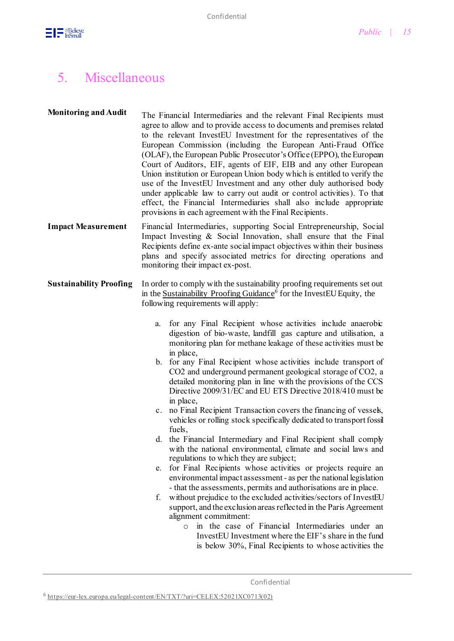

## 5. Miscellaneous

| <b>Monitoring and Audit</b>    | The Financial Intermediaries and the relevant Final Recipients must<br>agree to allow and to provide access to documents and premises related<br>to the relevant InvestEU Investment for the representatives of the<br>European Commission (including the European Anti-Fraud Office<br>(OLAF), the European Public Prosecutor's Office (EPPO), the European<br>Court of Auditors, EIF, agents of EIF, EIB and any other European<br>Union institution or European Union body which is entitled to verify the<br>use of the InvestEU Investment and any other duly authorised body<br>under applicable law to carry out audit or control activities). To that<br>effect, the Financial Intermediaries shall also include appropriate<br>provisions in each agreement with the Final Recipients.                                                                                                                                                                                                                                                                                                                                                                                                                                                                                                                                                                                                                                                                                                                                                                                                                         |
|--------------------------------|-------------------------------------------------------------------------------------------------------------------------------------------------------------------------------------------------------------------------------------------------------------------------------------------------------------------------------------------------------------------------------------------------------------------------------------------------------------------------------------------------------------------------------------------------------------------------------------------------------------------------------------------------------------------------------------------------------------------------------------------------------------------------------------------------------------------------------------------------------------------------------------------------------------------------------------------------------------------------------------------------------------------------------------------------------------------------------------------------------------------------------------------------------------------------------------------------------------------------------------------------------------------------------------------------------------------------------------------------------------------------------------------------------------------------------------------------------------------------------------------------------------------------------------------------------------------------------------------------------------------------|
| <b>Impact Measurement</b>      | Financial Intermediaries, supporting Social Entrepreneurship, Social<br>Impact Investing & Social Innovation, shall ensure that the Final<br>Recipients define ex-ante social impact objectives within their business<br>plans and specify associated metrics for directing operations and<br>monitoring their impact ex-post.                                                                                                                                                                                                                                                                                                                                                                                                                                                                                                                                                                                                                                                                                                                                                                                                                                                                                                                                                                                                                                                                                                                                                                                                                                                                                          |
| <b>Sustainability Proofing</b> | In order to comply with the sustainability proofing requirements set out<br>in the Sustainability Proofing Guidance <sup>6</sup> for the InvestEU Equity, the<br>following requirements will apply:<br>for any Final Recipient whose activities include anaerobic<br>a.<br>digestion of bio-waste, landfill gas capture and utilisation, a<br>monitoring plan for methane leakage of these activities must be<br>in place,<br>b. for any Final Recipient whose activities include transport of<br>CO2 and underground permanent geological storage of CO2, a<br>detailed monitoring plan in line with the provisions of the CCS<br>Directive 2009/31/EC and EU ETS Directive 2018/410 must be<br>in place,<br>c. no Final Recipient Transaction covers the financing of vessels,<br>vehicles or rolling stock specifically dedicated to transport fossil<br>fuels,<br>d. the Financial Intermediary and Final Recipient shall comply<br>with the national environmental, climate and social laws and<br>regulations to which they are subject;<br>for Final Recipients whose activities or projects require an<br>e.<br>environmental impact assessment - as per the national legislation<br>- that the assessments, permits and authorisations are in place.<br>without prejudice to the excluded activities/sectors of InvestEU<br>f.<br>support, and the exclusion areas reflected in the Paris Agreement<br>alignment commitment:<br>in the case of Financial Intermediaries under an<br>$\circ$<br>InvestEU Investment where the EIF's share in the fund<br>is below 30%, Final Recipients to whose activities the |
|                                |                                                                                                                                                                                                                                                                                                                                                                                                                                                                                                                                                                                                                                                                                                                                                                                                                                                                                                                                                                                                                                                                                                                                                                                                                                                                                                                                                                                                                                                                                                                                                                                                                         |

Confidential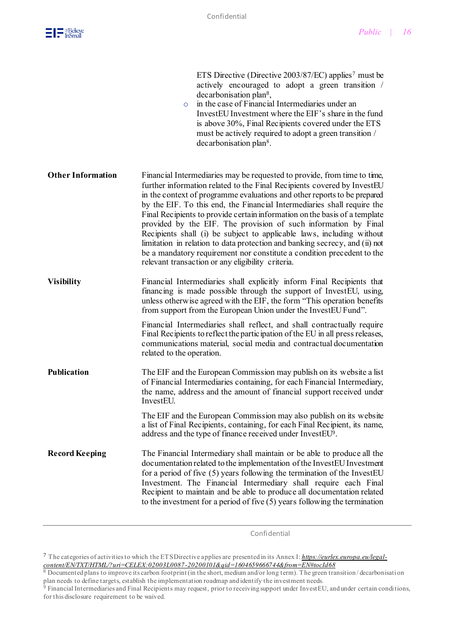

|                          | ETS Directive (Directive 2003/87/EC) applies <sup>7</sup> must be<br>actively encouraged to adopt a green transition /<br>decarbonisation plan <sup>8</sup> ,<br>in the case of Financial Intermediaries under an<br>$\circ$<br>InvestEU Investment where the EIF's share in the fund<br>is above 30%, Final Recipients covered under the ETS<br>must be actively required to adopt a green transition /<br>decarbonisation plan <sup>8</sup> .                                                                                                                                                                                                                                                                                                    |
|--------------------------|----------------------------------------------------------------------------------------------------------------------------------------------------------------------------------------------------------------------------------------------------------------------------------------------------------------------------------------------------------------------------------------------------------------------------------------------------------------------------------------------------------------------------------------------------------------------------------------------------------------------------------------------------------------------------------------------------------------------------------------------------|
| <b>Other Information</b> | Financial Intermediaries may be requested to provide, from time to time,<br>further information related to the Final Recipients covered by InvestEU<br>in the context of programme evaluations and other reports to be prepared<br>by the EIF. To this end, the Financial Intermediaries shall require the<br>Final Recipients to provide certain information on the basis of a template<br>provided by the EIF. The provision of such information by Final<br>Recipients shall (i) be subject to applicable laws, including without<br>limitation in relation to data protection and banking secrecy, and (ii) not<br>be a mandatory requirement nor constitute a condition precedent to the<br>relevant transaction or any eligibility criteria. |
| <b>Visibility</b>        | Financial Intermediaries shall explicitly inform Final Recipients that<br>financing is made possible through the support of InvestEU, using,<br>unless otherwise agreed with the EIF, the form "This operation benefits"<br>from support from the European Union under the InvestEU Fund".                                                                                                                                                                                                                                                                                                                                                                                                                                                         |
|                          | Financial Intermediaries shall reflect, and shall contractually require<br>Final Recipients to reflect the participation of the EU in all press releases,<br>communications material, social media and contractual documentation<br>related to the operation.                                                                                                                                                                                                                                                                                                                                                                                                                                                                                      |
| <b>Publication</b>       | The EIF and the European Commission may publish on its website a list<br>of Financial Intermediaries containing, for each Financial Intermediary,<br>the name, address and the amount of financial support received under<br>InvestEU.                                                                                                                                                                                                                                                                                                                                                                                                                                                                                                             |
|                          | The EIF and the European Commission may also publish on its website<br>a list of Final Recipients, containing, for each Final Recipient, its name,<br>address and the type of finance received under InvestEU <sup>9</sup> .                                                                                                                                                                                                                                                                                                                                                                                                                                                                                                                       |
| <b>Record Keeping</b>    | The Financial Intermediary shall maintain or be able to produce all the<br>documentation related to the implementation of the InvestEU Investment<br>for a period of five (5) years following the termination of the InvestEU<br>Investment. The Financial Intermediary shall require each Final<br>Recipient to maintain and be able to produce all documentation related<br>to the investment for a period of five $(5)$ years following the termination                                                                                                                                                                                                                                                                                         |

Confidential

<sup>7</sup> The categories of activities to which the ETS Directive applies are presented in its Annex I: *[https://eurlex.europa.eu/legal](https://eurlex.europa.eu/legal-content/EN/TXT/HTML/?uri=CELEX:02003L0087-20200101&qid=1604659666744&from=EN%23tocId68)[content/EN/TXT/HTML/?uri=CELEX:02003L0087-20200101&qid=1604659666744&from=EN#tocId68](https://eurlex.europa.eu/legal-content/EN/TXT/HTML/?uri=CELEX:02003L0087-20200101&qid=1604659666744&from=EN%23tocId68)*

<sup>8</sup> Documented plans to improve its carbon footprint (in the short, medium and/or long term). The green transition/decarbonisation plan needs to define targets, establish the implementation roadmap and identify the investment needs.

 $9$  Financial Intermediaries and Final Recipients may request, prior to receiving support under InvestEU, and under certain conditions, for this disclosure requirement to be waived.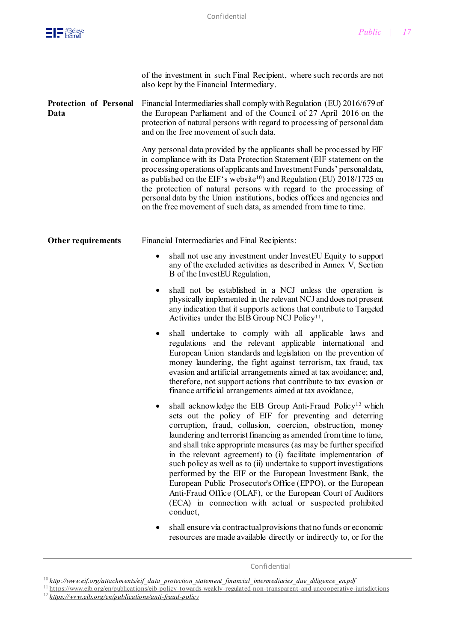

|                                       | of the investment in such Final Recipient, where such records are not<br>also kept by the Financial Intermediary.                                                                                                                                                                                                                                                                                                                                                                                                                                                                                                                                                                                                                                |
|---------------------------------------|--------------------------------------------------------------------------------------------------------------------------------------------------------------------------------------------------------------------------------------------------------------------------------------------------------------------------------------------------------------------------------------------------------------------------------------------------------------------------------------------------------------------------------------------------------------------------------------------------------------------------------------------------------------------------------------------------------------------------------------------------|
| <b>Protection of Personal</b><br>Data | Financial Intermediaries shall comply with Regulation (EU) 2016/679 of<br>the European Parliament and of the Council of 27 April 2016 on the<br>protection of natural persons with regard to processing of personal data<br>and on the free movement of such data.                                                                                                                                                                                                                                                                                                                                                                                                                                                                               |
|                                       | Any personal data provided by the applicants shall be processed by EIF<br>in compliance with its Data Protection Statement (EIF statement on the<br>processing operations of applicants and Investment Funds' personal data,<br>as published on the EIF's website <sup>10</sup> ) and Regulation (EU) 2018/1725 on<br>the protection of natural persons with regard to the processing of<br>personal data by the Union institutions, bodies offices and agencies and<br>on the free movement of such data, as amended from time to time.                                                                                                                                                                                                         |
| <b>Other requirements</b>             | Financial Intermediaries and Final Recipients:                                                                                                                                                                                                                                                                                                                                                                                                                                                                                                                                                                                                                                                                                                   |
|                                       | shall not use any investment under InvestEU Equity to support<br>٠<br>any of the excluded activities as described in Annex V, Section<br>B of the InvestEU Regulation,                                                                                                                                                                                                                                                                                                                                                                                                                                                                                                                                                                           |
|                                       | shall not be established in a NCJ unless the operation is<br>٠<br>physically implemented in the relevant NCJ and does not present<br>any indication that it supports actions that contribute to Targeted<br>Activities under the EIB Group NCJ Policy <sup>11</sup> ,                                                                                                                                                                                                                                                                                                                                                                                                                                                                            |
|                                       | shall undertake to comply with all applicable laws and<br>regulations and the relevant applicable international and<br>European Union standards and legislation on the prevention of<br>money laundering, the fight against terrorism, tax fraud, tax<br>evasion and artificial arrangements aimed at tax avoidance; and,<br>therefore, not support actions that contribute to tax evasion or<br>finance artificial arrangements aimed at tax avoidance,                                                                                                                                                                                                                                                                                         |
|                                       | shall acknowledge the EIB Group Anti-Fraud Policy <sup>12</sup> which<br>sets out the policy of EIF for preventing and deterring<br>corruption, fraud, collusion, coercion, obstruction, money<br>laundering and terrorist financing as amended from time to time,<br>and shall take appropriate measures (as may be further specified<br>in the relevant agreement) to (i) facilitate implementation of<br>such policy as well as to (ii) undertake to support investigations<br>performed by the EIF or the European Investment Bank, the<br>European Public Prosecutor's Office (EPPO), or the European<br>Anti-Fraud Office (OLAF), or the European Court of Auditors<br>(ECA) in connection with actual or suspected prohibited<br>conduct, |
|                                       | shall ensure via contractual provisions that no funds or economic<br>resources are made available directly or indirectly to, or for the                                                                                                                                                                                                                                                                                                                                                                                                                                                                                                                                                                                                          |

Confidential

 $10$  *http://www.eif.org/attachments/eif data protection statement financial intermediaries due diligence en.pdf* 

 $11 \text{ https://www.eib.org/en/publications/eib-policy-towards-weakly-regulated-non-transparent-and-uncooperative-jurisdictions.}$  $11 \text{ https://www.eib.org/en/publications/eib-policy-towards-weakly-regulated-non-transparent-and-uncooperative-jurisdictions.}$  $11 \text{ https://www.eib.org/en/publications/eib-policy-towards-weakly-regulated-non-transparent-and-uncooperative-jurisdictions.}$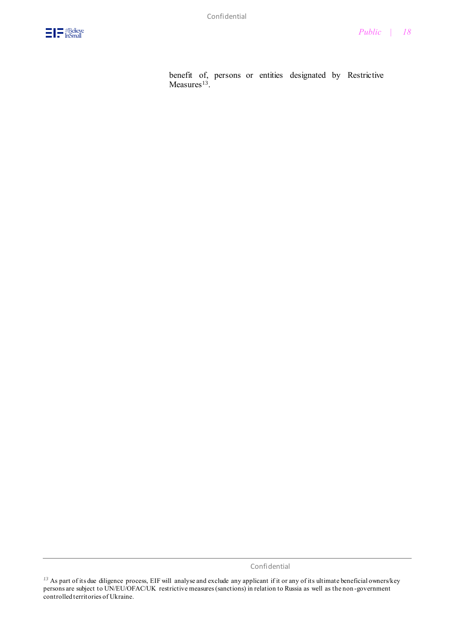

benefit of, persons or entities designated by Restrictive  $Measures<sup>13</sup>$ .

Confidential

*<sup>13</sup>* As part of its due diligence process, EIF will analyse and exclude any applicant if it or any of its ultimate beneficial owners/key persons are subject to UN/EU/OFAC/UK restrictive measures (sanctions) in relation to Russia as well as the non -government controlled territories of Ukraine.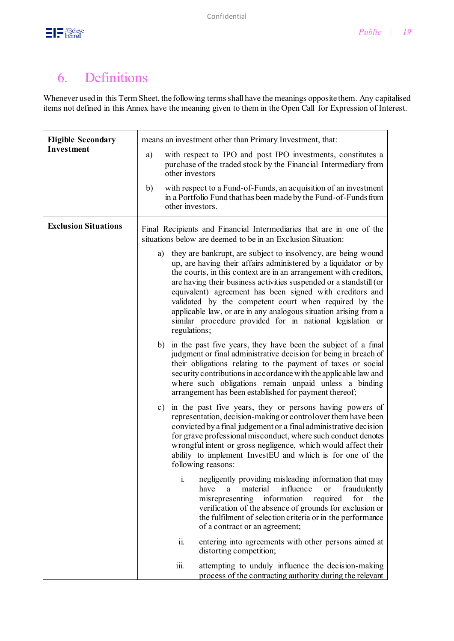

## 6. Definitions

Whenever used in this Term Sheet, the following terms shall have the meanings opposite them. Any capitalised items not defined in this Annex have the meaning given to them in the Open Call for Expression of Interest.

| <b>Eligible Secondary</b>   | means an investment other than Primary Investment, that:                                                                                                                                                                                                                                                                                                                                                                                                                                                                                                |
|-----------------------------|---------------------------------------------------------------------------------------------------------------------------------------------------------------------------------------------------------------------------------------------------------------------------------------------------------------------------------------------------------------------------------------------------------------------------------------------------------------------------------------------------------------------------------------------------------|
| Investment                  | with respect to IPO and post IPO investments, constitutes a<br>a)<br>purchase of the traded stock by the Financial Intermediary from<br>other investors                                                                                                                                                                                                                                                                                                                                                                                                 |
|                             | with respect to a Fund-of-Funds, an acquisition of an investment<br>b)<br>in a Portfolio Fund that has been made by the Fund-of-Funds from<br>other investors.                                                                                                                                                                                                                                                                                                                                                                                          |
| <b>Exclusion Situations</b> | Final Recipients and Financial Intermediaries that are in one of the<br>situations below are deemed to be in an Exclusion Situation:                                                                                                                                                                                                                                                                                                                                                                                                                    |
|                             | they are bankrupt, are subject to insolvency, are being wound<br>a)<br>up, are having their affairs administered by a liquidator or by<br>the courts, in this context are in an arrangement with creditors,<br>are having their business activities suspended or a standstill (or<br>equivalent) agreement has been signed with creditors and<br>validated by the competent court when required by the<br>applicable law, or are in any analogous situation arising from a<br>similar procedure provided for in national legislation or<br>regulations; |
|                             | in the past five years, they have been the subject of a final<br>b)<br>judgment or final administrative decision for being in breach of<br>their obligations relating to the payment of taxes or social<br>security contributions in accordance with the applicable law and<br>where such obligations remain unpaid unless a binding<br>arrangement has been established for payment thereof;                                                                                                                                                           |
|                             | in the past five years, they or persons having powers of<br>$\mathbf{c})$<br>representation, decision-making or control over them have been<br>convicted by a final judgement or a final administrative decision<br>for grave professional misconduct, where such conduct denotes<br>wrongful intent or gross negligence, which would affect their<br>ability to implement InvestEU and which is for one of the<br>following reasons:                                                                                                                   |
|                             | i.<br>negligently providing misleading information that may<br>material<br>influence<br>have<br><sub>or</sub><br>fraudulently<br>a<br>information<br>misrepresenting<br>required<br>for<br>the<br>verification of the absence of grounds for exclusion or<br>the fulfilment of selection criteria or in the performance<br>of a contract or an agreement;                                                                                                                                                                                               |
|                             | ii.<br>entering into agreements with other persons aimed at<br>distorting competition;                                                                                                                                                                                                                                                                                                                                                                                                                                                                  |
|                             | iii.<br>attempting to unduly influence the decision-making<br>process of the contracting authority during the relevant                                                                                                                                                                                                                                                                                                                                                                                                                                  |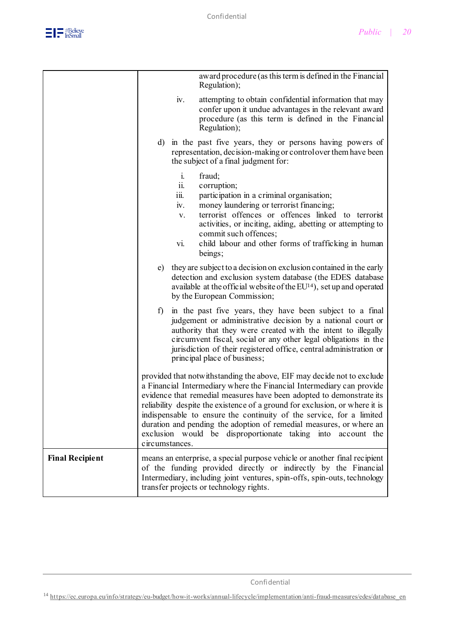

|                        | award procedure (as this term is defined in the Financial<br>Regulation);                                                                                                                                                                                                                                                                                                                                                                                                                                                              |
|------------------------|----------------------------------------------------------------------------------------------------------------------------------------------------------------------------------------------------------------------------------------------------------------------------------------------------------------------------------------------------------------------------------------------------------------------------------------------------------------------------------------------------------------------------------------|
|                        | iv.<br>attempting to obtain confidential information that may<br>confer upon it undue advantages in the relevant award<br>procedure (as this term is defined in the Financial<br>Regulation);                                                                                                                                                                                                                                                                                                                                          |
|                        | d) in the past five years, they or persons having powers of<br>representation, decision-making or control over them have been<br>the subject of a final judgment for:                                                                                                                                                                                                                                                                                                                                                                  |
|                        | i.<br>fraud;<br>corruption;<br>11.<br>iii.<br>participation in a criminal organisation;<br>iv.<br>money laundering or terrorist financing;<br>terrorist offences or offences linked to terrorist<br>V.<br>activities, or inciting, aiding, abetting or attempting to<br>commit such offences;<br>child labour and other forms of trafficking in human<br>vi.<br>beings;                                                                                                                                                                |
|                        | they are subject to a decision on exclusion contained in the early<br>e)<br>detection and exclusion system database (the EDES database<br>available at the official website of the $EU14$ ), set up and operated<br>by the European Commission;                                                                                                                                                                                                                                                                                        |
|                        | in the past five years, they have been subject to a final<br>f)<br>judgement or administrative decision by a national court or<br>authority that they were created with the intent to illegally<br>circumvent fiscal, social or any other legal obligations in the<br>jurisdiction of their registered office, central administration or<br>principal place of business;                                                                                                                                                               |
|                        | provided that notwithstanding the above, EIF may decide not to exclude<br>a Financial Intermediary where the Financial Intermediary can provide<br>evidence that remedial measures have been adopted to demonstrate its<br>reliability despite the existence of a ground for exclusion, or where it is<br>indispensable to ensure the continuity of the service, for a limited<br>duration and pending the adoption of remedial measures, or where an<br>exclusion would be disproportionate taking into account the<br>circumstances. |
| <b>Final Recipient</b> | means an enterprise, a special purpose vehicle or another final recipient<br>of the funding provided directly or indirectly by the Financial<br>Intermediary, including joint ventures, spin-offs, spin-outs, technology<br>transfer projects or technology rights.                                                                                                                                                                                                                                                                    |

Confidential

<sup>14</sup> [https://ec.europa.eu/info/strategy/eu-budget/how-it-works/annual-lifecycle/implementation/anti-fraud-measures/edes/database\\_en](https://ec.europa.eu/info/strategy/eu-budget/how-it-works/annual-lifecycle/implementation/anti-fraud-measures/edes/database_en)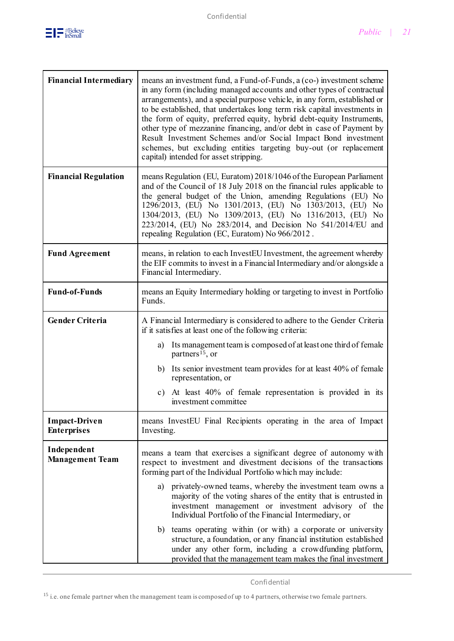

| <b>Financial Intermediary</b>              | means an investment fund, a Fund-of-Funds, a (co-) investment scheme<br>in any form (including managed accounts and other types of contractual<br>arrangements), and a special purpose vehicle, in any form, established or<br>to be established, that undertakes long term risk capital investments in<br>the form of equity, preferred equity, hybrid debt-equity Instruments,<br>other type of mezzanine financing, and/or debt in case of Payment by<br>Result Investment Schemes and/or Social Impact Bond investment<br>schemes, but excluding entities targeting buy-out (or replacement<br>capital) intended for asset stripping. |
|--------------------------------------------|-------------------------------------------------------------------------------------------------------------------------------------------------------------------------------------------------------------------------------------------------------------------------------------------------------------------------------------------------------------------------------------------------------------------------------------------------------------------------------------------------------------------------------------------------------------------------------------------------------------------------------------------|
| <b>Financial Regulation</b>                | means Regulation (EU, Euratom) 2018/1046 of the European Parliament<br>and of the Council of 18 July 2018 on the financial rules applicable to<br>the general budget of the Union, amending Regulations (EU) No<br>1296/2013, (EU) No 1301/2013, (EU) No 1303/2013, (EU) No<br>1304/2013, (EU) No 1309/2013, (EU) No 1316/2013, (EU) No<br>223/2014, (EU) No 283/2014, and Decision No 541/2014/EU and<br>repealing Regulation (EC, Euratom) No 966/2012.                                                                                                                                                                                 |
| <b>Fund Agreement</b>                      | means, in relation to each InvestEU Investment, the agreement whereby<br>the EIF commits to invest in a Financial Intermediary and/or alongside a<br>Financial Intermediary.                                                                                                                                                                                                                                                                                                                                                                                                                                                              |
| <b>Fund-of-Funds</b>                       | means an Equity Intermediary holding or targeting to invest in Portfolio<br>Funds.                                                                                                                                                                                                                                                                                                                                                                                                                                                                                                                                                        |
| <b>Gender Criteria</b>                     | A Financial Intermediary is considered to adhere to the Gender Criteria<br>if it satisfies at least one of the following criteria:                                                                                                                                                                                                                                                                                                                                                                                                                                                                                                        |
|                                            | Its management team is composed of at least one third of female<br>a)<br>partners <sup>15</sup> , or                                                                                                                                                                                                                                                                                                                                                                                                                                                                                                                                      |
|                                            | Its senior investment team provides for at least 40% of female<br>b)<br>representation, or                                                                                                                                                                                                                                                                                                                                                                                                                                                                                                                                                |
|                                            | c) At least 40% of female representation is provided in its<br>investment committee                                                                                                                                                                                                                                                                                                                                                                                                                                                                                                                                                       |
| <b>Impact-Driven</b><br><b>Enterprises</b> | means InvestEU Final Recipients operating in the area of Impact<br>Investing.                                                                                                                                                                                                                                                                                                                                                                                                                                                                                                                                                             |
| Independent<br><b>Management Team</b>      | means a team that exercises a significant degree of autonomy with<br>respect to investment and divestment decisions of the transactions<br>forming part of the Individual Portfolio which may include:                                                                                                                                                                                                                                                                                                                                                                                                                                    |
|                                            | a) privately-owned teams, whereby the investment team owns a<br>majority of the voting shares of the entity that is entrusted in<br>investment management or investment advisory of the<br>Individual Portfolio of the Financial Intermediary, or                                                                                                                                                                                                                                                                                                                                                                                         |
|                                            | teams operating within (or with) a corporate or university<br>b)<br>structure, a foundation, or any financial institution established<br>under any other form, including a crowdfunding platform,<br>provided that the management team makes the final investment                                                                                                                                                                                                                                                                                                                                                                         |

<sup>15</sup> i.e. one female partner when the management team is composed of up to 4 partners, otherwise two female partners.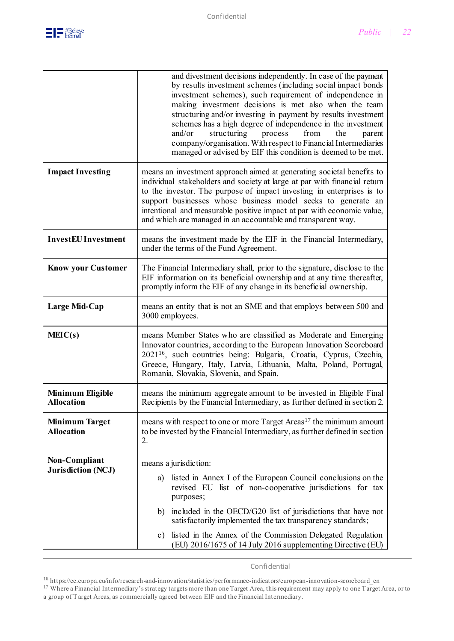

|                                            | and divestment decisions independently. In case of the payment<br>by results investment schemes (including social impact bonds<br>investment schemes), such requirement of independence in<br>making investment decisions is met also when the team<br>structuring and/or investing in payment by results investment<br>schemes has a high degree of independence in the investment<br>structuring<br>and/or<br>process<br>from<br>the<br>parent<br>company/organisation. With respect to Financial Intermediaries<br>managed or advised by EIF this condition is deemed to be met. |
|--------------------------------------------|-------------------------------------------------------------------------------------------------------------------------------------------------------------------------------------------------------------------------------------------------------------------------------------------------------------------------------------------------------------------------------------------------------------------------------------------------------------------------------------------------------------------------------------------------------------------------------------|
| <b>Impact Investing</b>                    | means an investment approach aimed at generating societal benefits to<br>individual stakeholders and society at large at par with financial return<br>to the investor. The purpose of impact investing in enterprises is to<br>support businesses whose business model seeks to generate an<br>intentional and measurable positive impact at par with economic value,<br>and which are managed in an accountable and transparent way.                                                                                                                                               |
| <b>InvestEU</b> Investment                 | means the investment made by the EIF in the Financial Intermediary,<br>under the terms of the Fund Agreement.                                                                                                                                                                                                                                                                                                                                                                                                                                                                       |
| <b>Know your Customer</b>                  | The Financial Intermediary shall, prior to the signature, disclose to the<br>EIF information on its beneficial ownership and at any time thereafter,<br>promptly inform the EIF of any change in its beneficial ownership.                                                                                                                                                                                                                                                                                                                                                          |
| Large Mid-Cap                              | means an entity that is not an SME and that employs between 500 and<br>3000 employees.                                                                                                                                                                                                                                                                                                                                                                                                                                                                                              |
| MEIC(s)                                    | means Member States who are classified as Moderate and Emerging<br>Innovator countries, according to the European Innovation Scoreboard<br>2021 <sup>16</sup> , such countries being: Bulgaria, Croatia, Cyprus, Czechia,<br>Greece, Hungary, Italy, Latvia, Lithuania, Malta, Poland, Portugal,<br>Romania, Slovakia, Slovenia, and Spain.                                                                                                                                                                                                                                         |
| Minimum Eligible<br><b>Allocation</b>      | means the minimum aggregate amount to be invested in Eligible Final<br>Recipients by the Financial Intermediary, as further defined in section 2.                                                                                                                                                                                                                                                                                                                                                                                                                                   |
| <b>Minimum Target</b><br><b>Allocation</b> | means with respect to one or more Target Areas <sup>17</sup> the minimum amount<br>to be invested by the Financial Intermediary, as further defined in section<br>2.                                                                                                                                                                                                                                                                                                                                                                                                                |
| Non-Compliant<br><b>Jurisdiction (NCJ)</b> | means a jurisdiction:<br>listed in Annex I of the European Council conclusions on the<br>a)<br>revised EU list of non-cooperative jurisdictions for tax<br>purposes;<br>included in the OECD/G20 list of jurisdictions that have not<br>b)<br>satisfactorily implemented the tax transparency standards;<br>listed in the Annex of the Commission Delegated Regulation<br>c)<br>(EU) 2016/1675 of 14 July 2016 supplementing Directive (EU)                                                                                                                                         |

Confidential

<sup>&</sup>lt;sup>16</sup> [https://ec.europa.eu/info/research-and-innovation/statistics/performance-indicators/european-innovation-scoreboard\\_en](https://ec.europa.eu/info/research-and-innovation/statistics/performance-indicators/european-innovation-scoreboard_en)

<sup>&</sup>lt;sup>17</sup> Where a Financial Intermediary's strategy targets more than one Target Area, this requirement may apply to one Target Area, or to a group of Target Areas, as commercially agreed between EIF and the Financial Intermediary.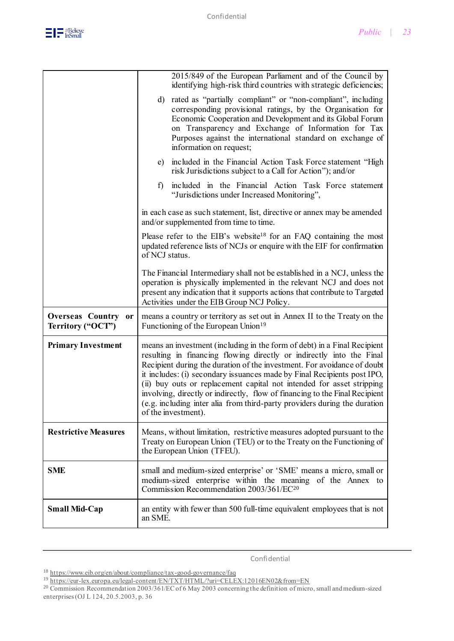

|                                          | 2015/849 of the European Parliament and of the Council by<br>identifying high-risk third countries with strategic deficiencies;                                                                                                                                                                                                                                                                                                                                                                                                                                    |
|------------------------------------------|--------------------------------------------------------------------------------------------------------------------------------------------------------------------------------------------------------------------------------------------------------------------------------------------------------------------------------------------------------------------------------------------------------------------------------------------------------------------------------------------------------------------------------------------------------------------|
|                                          | d) rated as "partially compliant" or "non-compliant", including<br>corresponding provisional ratings, by the Organisation for<br>Economic Cooperation and Development and its Global Forum<br>on Transparency and Exchange of Information for Tax<br>Purposes against the international standard on exchange of<br>information on request;                                                                                                                                                                                                                         |
|                                          | e) included in the Financial Action Task Force statement "High<br>risk Jurisdictions subject to a Call for Action"); and/or                                                                                                                                                                                                                                                                                                                                                                                                                                        |
|                                          | included in the Financial Action Task Force statement<br>f)<br>"Jurisdictions under Increased Monitoring",                                                                                                                                                                                                                                                                                                                                                                                                                                                         |
|                                          | in each case as such statement, list, directive or annex may be amended<br>and/or supplemented from time to time.                                                                                                                                                                                                                                                                                                                                                                                                                                                  |
|                                          | Please refer to the EIB's website <sup>18</sup> for an FAQ containing the most<br>updated reference lists of NCJs or enquire with the EIF for confirmation<br>of NCJ status.                                                                                                                                                                                                                                                                                                                                                                                       |
|                                          | The Financial Intermediary shall not be established in a NCJ, unless the<br>operation is physically implemented in the relevant NCJ and does not<br>present any indication that it supports actions that contribute to Targeted<br>Activities under the EIB Group NCJ Policy.                                                                                                                                                                                                                                                                                      |
| Overseas Country or<br>Territory ("OCT") | means a country or territory as set out in Annex II to the Treaty on the<br>Functioning of the European Union <sup>19</sup>                                                                                                                                                                                                                                                                                                                                                                                                                                        |
| <b>Primary Investment</b>                | means an investment (including in the form of debt) in a Final Recipient<br>resulting in financing flowing directly or indirectly into the Final<br>Recipient during the duration of the investment. For avoidance of doubt<br>it includes: (i) secondary issuances made by Final Recipients post IPO,<br>(ii) buy outs or replacement capital not intended for asset stripping<br>involving, directly or indirectly, flow of financing to the Final Recipient<br>(e.g. including inter alia from third-party providers during the duration<br>of the investment). |
| <b>Restrictive Measures</b>              | Means, without limitation, restrictive measures adopted pursuant to the<br>Treaty on European Union (TEU) or to the Treaty on the Functioning of<br>the European Union (TFEU).                                                                                                                                                                                                                                                                                                                                                                                     |
| <b>SME</b>                               | small and medium-sized enterprise' or 'SME' means a micro, small or<br>medium-sized enterprise within the meaning of the Annex to<br>Commission Recommendation 2003/361/EC <sup>20</sup>                                                                                                                                                                                                                                                                                                                                                                           |
| <b>Small Mid-Cap</b>                     | an entity with fewer than 500 full-time equivalent employees that is not<br>an SME.                                                                                                                                                                                                                                                                                                                                                                                                                                                                                |

Confidential

<sup>18</sup> <https://www.eib.org/en/about/compliance/tax-good-governance/faq>

<sup>&</sup>lt;sup>19</sup> <https://eur-lex.europa.eu/legal-content/EN/TXT/HTML/?uri=CELEX:12016EN02&from=EN>

<sup>&</sup>lt;sup>20</sup> Commission Recommendation 2003/361/EC of 6 May 2003 concerning the definition of micro, small and medium-sized enterprises (OJ L 124, 20.5.2003, p. 36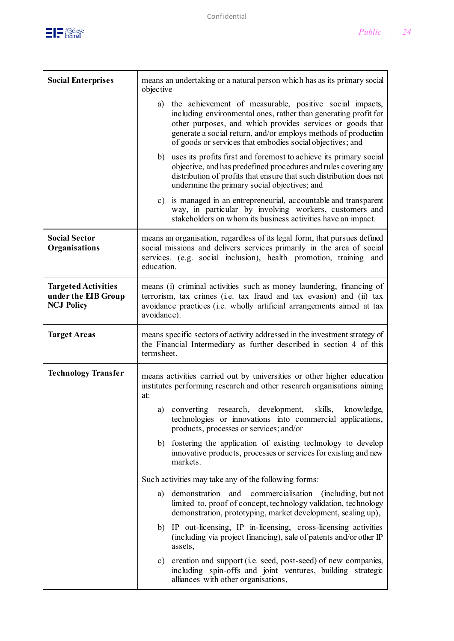

| <b>Social Enterprises</b>                                              | means an undertaking or a natural person which has as its primary social<br>objective                                                                                                                                                                                                                                     |
|------------------------------------------------------------------------|---------------------------------------------------------------------------------------------------------------------------------------------------------------------------------------------------------------------------------------------------------------------------------------------------------------------------|
|                                                                        | a) the achievement of measurable, positive social impacts,<br>including environmental ones, rather than generating profit for<br>other purposes, and which provides services or goods that<br>generate a social return, and/or employs methods of production<br>of goods or services that embodies social objectives; and |
|                                                                        | uses its profits first and foremost to achieve its primary social<br>b)<br>objective, and has predefined procedures and rules covering any<br>distribution of profits that ensure that such distribution does not<br>undermine the primary social objectives; and                                                         |
|                                                                        | c) is managed in an entrepreneurial, accountable and transparent<br>way, in particular by involving workers, customers and<br>stakeholders on whom its business activities have an impact.                                                                                                                                |
| <b>Social Sector</b><br>Organisations                                  | means an organisation, regardless of its legal form, that pursues defined<br>social missions and delivers services primarily in the area of social<br>services. (e.g. social inclusion), health promotion, training and<br>education.                                                                                     |
| <b>Targeted Activities</b><br>under the EIB Group<br><b>NCJ Policy</b> | means (i) criminal activities such as money laundering, financing of<br>terrorism, tax crimes (i.e. tax fraud and tax evasion) and (ii) tax<br>avoidance practices (i.e. wholly artificial arrangements aimed at tax<br>avoidance).                                                                                       |
| <b>Target Areas</b>                                                    | means specific sectors of activity addressed in the investment strategy of<br>the Financial Intermediary as further described in section 4 of this<br>termsheet.                                                                                                                                                          |
| <b>Technology Transfer</b>                                             | means activities carried out by universities or other higher education<br>institutes performing research and other research organisations aiming<br>at:                                                                                                                                                                   |
|                                                                        | skills,<br>a) converting<br>research, development,<br>knowledge,<br>technologies or innovations into commercial applications,<br>products, processes or services; and/or                                                                                                                                                  |
|                                                                        | b) fostering the application of existing technology to develop<br>innovative products, processes or services for existing and new<br>markets.                                                                                                                                                                             |
|                                                                        | Such activities may take any of the following forms:                                                                                                                                                                                                                                                                      |
|                                                                        | and commercialisation (including, but not<br>demonstration<br>a)<br>limited to, proof of concept, technology validation, technology<br>demonstration, prototyping, market development, scaling up),                                                                                                                       |
|                                                                        | b) IP out-licensing, IP in-licensing, cross-licensing activities<br>(including via project financing), sale of patents and/or other IP<br>assets,                                                                                                                                                                         |
|                                                                        | c) creation and support (i.e. seed, post-seed) of new companies,<br>including spin-offs and joint ventures, building strategic                                                                                                                                                                                            |